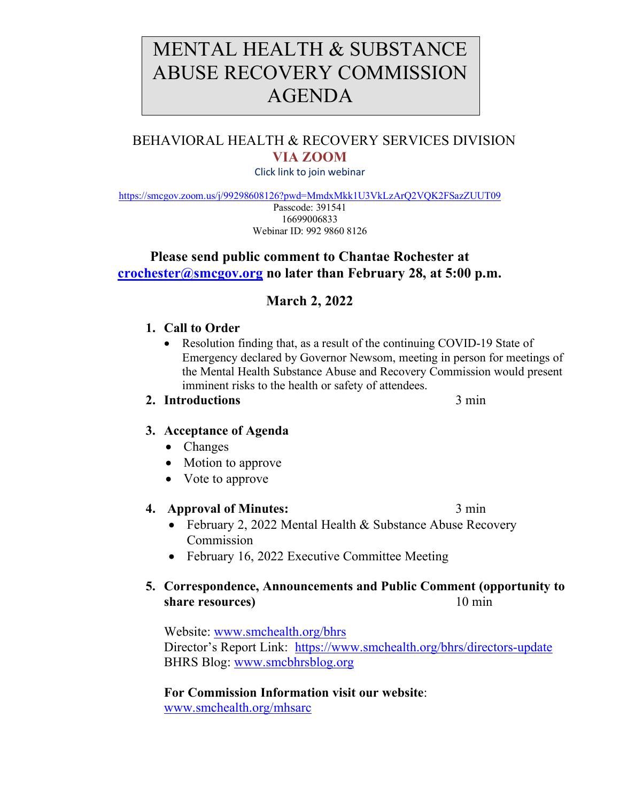# MENTAL HEALTH & SUBSTANCE ABUSE RECOVERY COMMISSION AGENDA

# BEHAVIORAL HEALTH & RECOVERY SERVICES DIVISION **VIA ZOOM**

Click link to join webinar

<https://smcgov.zoom.us/j/99298608126?pwd=MmdxMkk1U3VkLzArQ2VQK2FSazZUUT09>

Passcode: 391541 16699006833 Webinar ID: 992 9860 8126

# **Please send public comment to Chantae Rochester at [crochester@smcgov.org](mailto:crochester@smcgov.org) no later than February 28, at 5:00 p.m.**

# **March 2, 2022**

# **1. Call to Order**

• Resolution finding that, as a result of the continuing COVID-19 State of Emergency declared by Governor Newsom, meeting in person for meetings of the Mental Health Substance Abuse and Recovery Commission would present imminent risks to the health or safety of attendees.

# **2. Introductions** 3 min

# **3. Acceptance of Agenda**

- Changes
- Motion to approve
- Vote to approve

## **4. Approval of Minutes:** 3 min

- February 2, 2022 Mental Health & Substance Abuse Recovery Commission
- February 16, 2022 Executive Committee Meeting

# **5. Correspondence, Announcements and Public Comment (opportunity to share resources**) 10 min

Website: [www.smchealth.org/bhrs](http://www.smchealth.org/bhrs) Director's Report Link: <https://www.smchealth.org/bhrs/directors-update> BHRS Blog: [www.smcbhrsblog.org](http://www.smcbhrsblog.org/)

**For Commission Information visit our website**: [www.smchealth.org/mhsarc](http://www.smchealth.org/mhsarc)